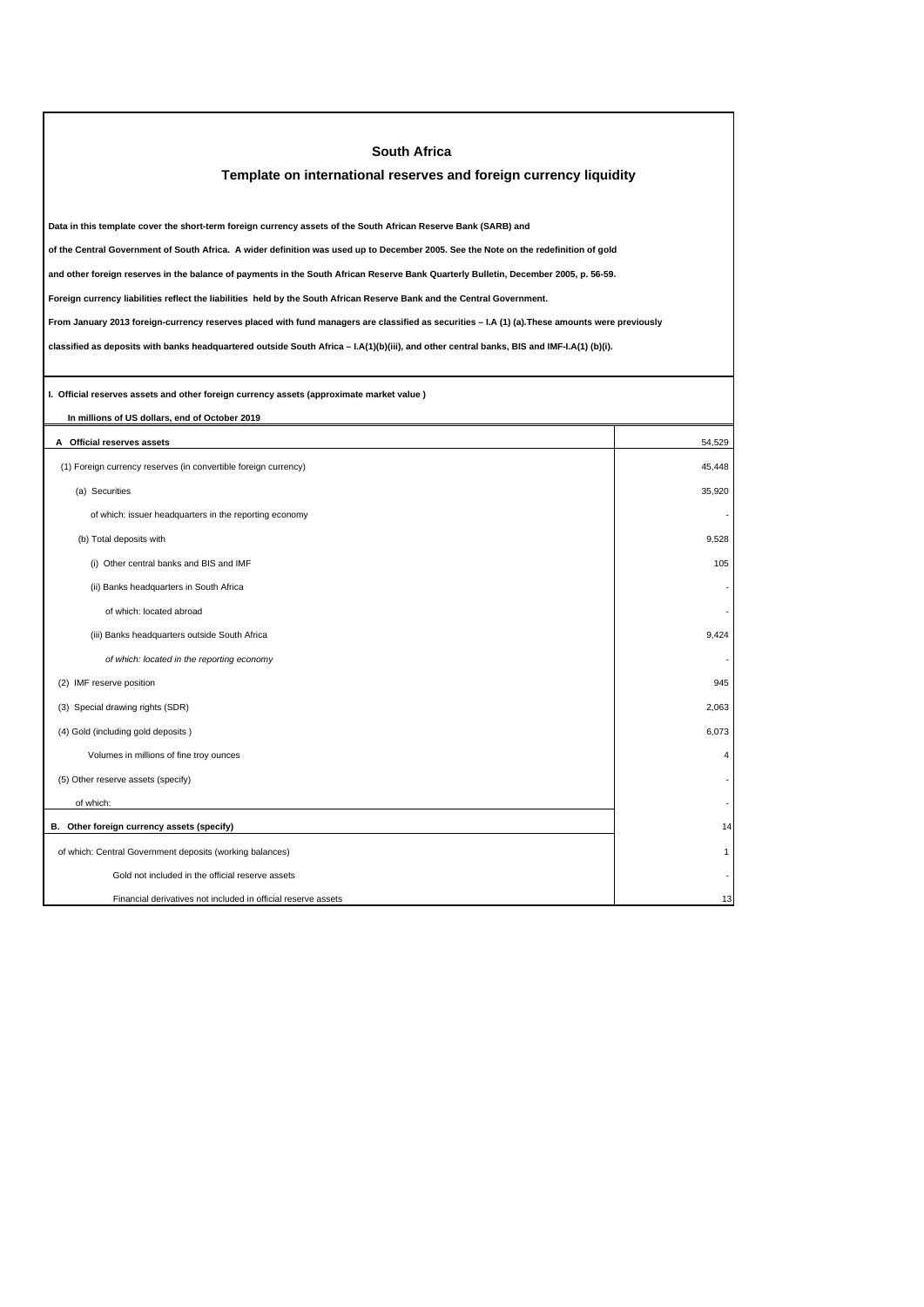| <b>South Africa</b>                                                                                                                             |                |  |  |  |
|-------------------------------------------------------------------------------------------------------------------------------------------------|----------------|--|--|--|
| Template on international reserves and foreign currency liquidity                                                                               |                |  |  |  |
|                                                                                                                                                 |                |  |  |  |
| Data in this template cover the short-term foreign currency assets of the South African Reserve Bank (SARB) and                                 |                |  |  |  |
| of the Central Government of South Africa. A wider definition was used up to December 2005. See the Note on the redefinition of gold            |                |  |  |  |
| and other foreign reserves in the balance of payments in the South African Reserve Bank Quarterly Bulletin, December 2005, p. 56-59.            |                |  |  |  |
| Foreign currency liabilities reflect the liabilities held by the South African Reserve Bank and the Central Government.                         |                |  |  |  |
| From January 2013 foreign-currency reserves placed with fund managers are classified as securities - I.A (1) (a). These amounts were previously |                |  |  |  |
| classified as deposits with banks headquartered outside South Africa - I.A(1)(b)(iii), and other central banks, BIS and IMF-I.A(1) (b)(i).      |                |  |  |  |
|                                                                                                                                                 |                |  |  |  |
| I. Official reserves assets and other foreign currency assets (approximate market value )                                                       |                |  |  |  |
| In millions of US dollars, end of October 2019                                                                                                  |                |  |  |  |
| A Official reserves assets                                                                                                                      | 54,529         |  |  |  |
| (1) Foreign currency reserves (in convertible foreign currency)                                                                                 | 45,448         |  |  |  |
| (a) Securities                                                                                                                                  | 35,920         |  |  |  |
| of which: issuer headquarters in the reporting economy                                                                                          |                |  |  |  |
| (b) Total deposits with                                                                                                                         | 9,528          |  |  |  |
| (i) Other central banks and BIS and IMF                                                                                                         | 105            |  |  |  |
| (ii) Banks headquarters in South Africa                                                                                                         |                |  |  |  |
| of which: located abroad                                                                                                                        |                |  |  |  |
| (iii) Banks headquarters outside South Africa                                                                                                   | 9,424          |  |  |  |
| of which: located in the reporting economy                                                                                                      |                |  |  |  |
| (2) IMF reserve position                                                                                                                        | 945            |  |  |  |
| (3) Special drawing rights (SDR)                                                                                                                | 2,063          |  |  |  |
| (4) Gold (including gold deposits)                                                                                                              | 6,073          |  |  |  |
| Volumes in millions of fine troy ounces                                                                                                         | $\overline{4}$ |  |  |  |
| (5) Other reserve assets (specify)                                                                                                              |                |  |  |  |
| of which:                                                                                                                                       |                |  |  |  |
| B. Other foreign currency assets (specify)                                                                                                      | 14             |  |  |  |
| of which: Central Government deposits (working balances)                                                                                        | 1              |  |  |  |
| Gold not included in the official reserve assets                                                                                                |                |  |  |  |
| Financial derivatives not included in official reserve assets                                                                                   | 13             |  |  |  |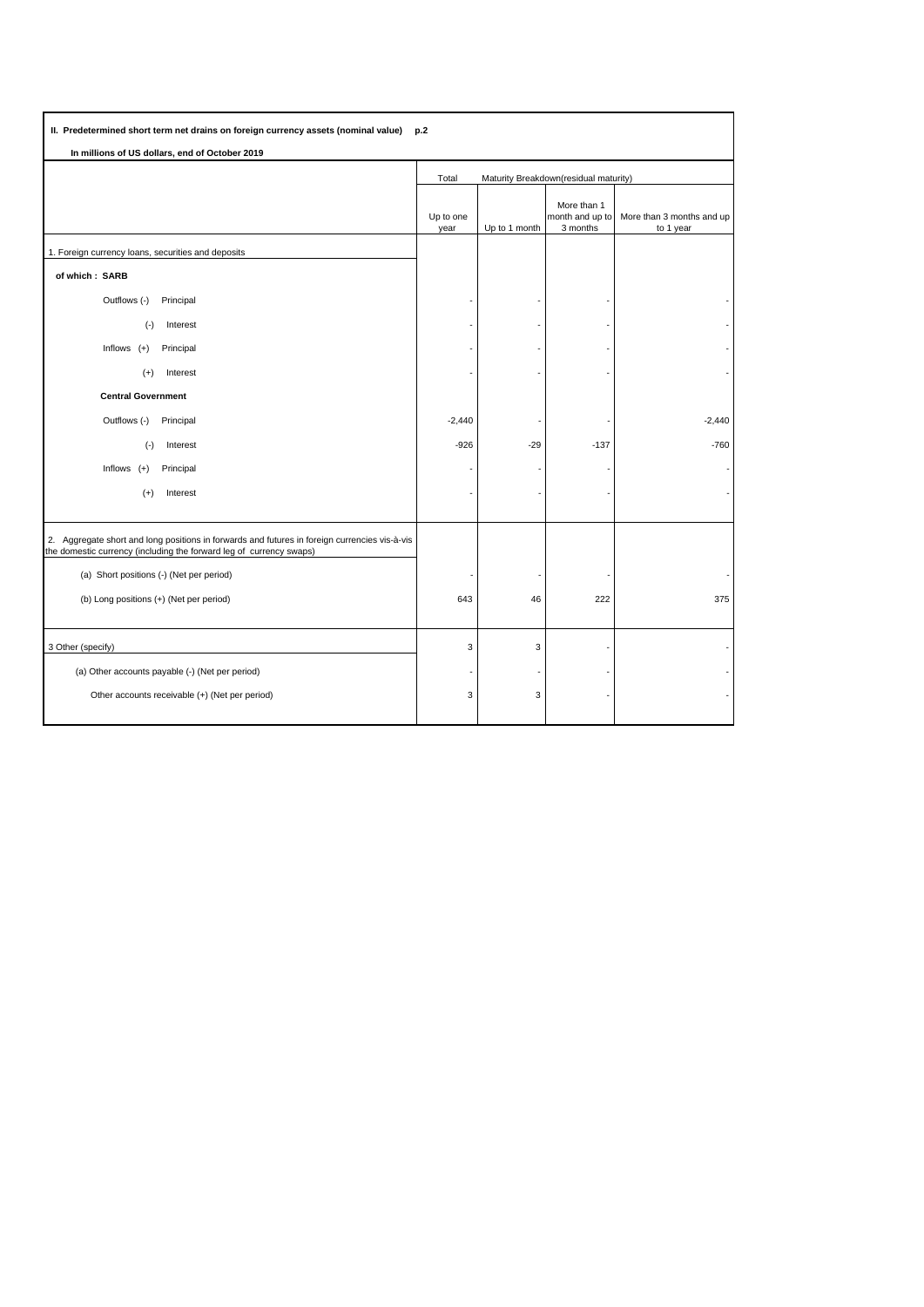| II. Predetermined short term net drains on foreign currency assets (nominal value)<br>p.2                                                                            |                                                |               |                                            |                                        |
|----------------------------------------------------------------------------------------------------------------------------------------------------------------------|------------------------------------------------|---------------|--------------------------------------------|----------------------------------------|
| In millions of US dollars, end of October 2019                                                                                                                       |                                                |               |                                            |                                        |
|                                                                                                                                                                      | Maturity Breakdown(residual maturity)<br>Total |               |                                            |                                        |
|                                                                                                                                                                      | Up to one<br>year                              | Up to 1 month | More than 1<br>month and up to<br>3 months | More than 3 months and up<br>to 1 year |
| 1. Foreign currency loans, securities and deposits                                                                                                                   |                                                |               |                                            |                                        |
| of which: SARB                                                                                                                                                       |                                                |               |                                            |                                        |
| Outflows (-)<br>Principal                                                                                                                                            |                                                |               |                                            |                                        |
| $(\cdot)$<br>Interest                                                                                                                                                |                                                |               |                                            |                                        |
| Inflows $(+)$<br>Principal                                                                                                                                           |                                                |               |                                            |                                        |
| Interest<br>$(+)$                                                                                                                                                    |                                                |               |                                            |                                        |
| <b>Central Government</b>                                                                                                                                            |                                                |               |                                            |                                        |
| Outflows (-)<br>Principal                                                                                                                                            | $-2,440$                                       |               |                                            | $-2,440$                               |
| $(-)$<br>Interest                                                                                                                                                    | $-926$                                         | $-29$         | $-137$                                     | $-760$                                 |
| Inflows $(+)$<br>Principal                                                                                                                                           |                                                |               |                                            |                                        |
| $(+)$<br>Interest                                                                                                                                                    |                                                |               |                                            |                                        |
|                                                                                                                                                                      |                                                |               |                                            |                                        |
| 2. Aggregate short and long positions in forwards and futures in foreign currencies vis-à-vis<br>the domestic currency (including the forward leg of currency swaps) |                                                |               |                                            |                                        |
| (a) Short positions (-) (Net per period)                                                                                                                             |                                                |               |                                            |                                        |
| (b) Long positions (+) (Net per period)                                                                                                                              | 643                                            | 46            | 222                                        | 375                                    |
| 3 Other (specify)                                                                                                                                                    | 3                                              | 3             |                                            |                                        |
| (a) Other accounts payable (-) (Net per period)                                                                                                                      |                                                |               |                                            |                                        |
| Other accounts receivable (+) (Net per period)                                                                                                                       | 3                                              | 3             |                                            |                                        |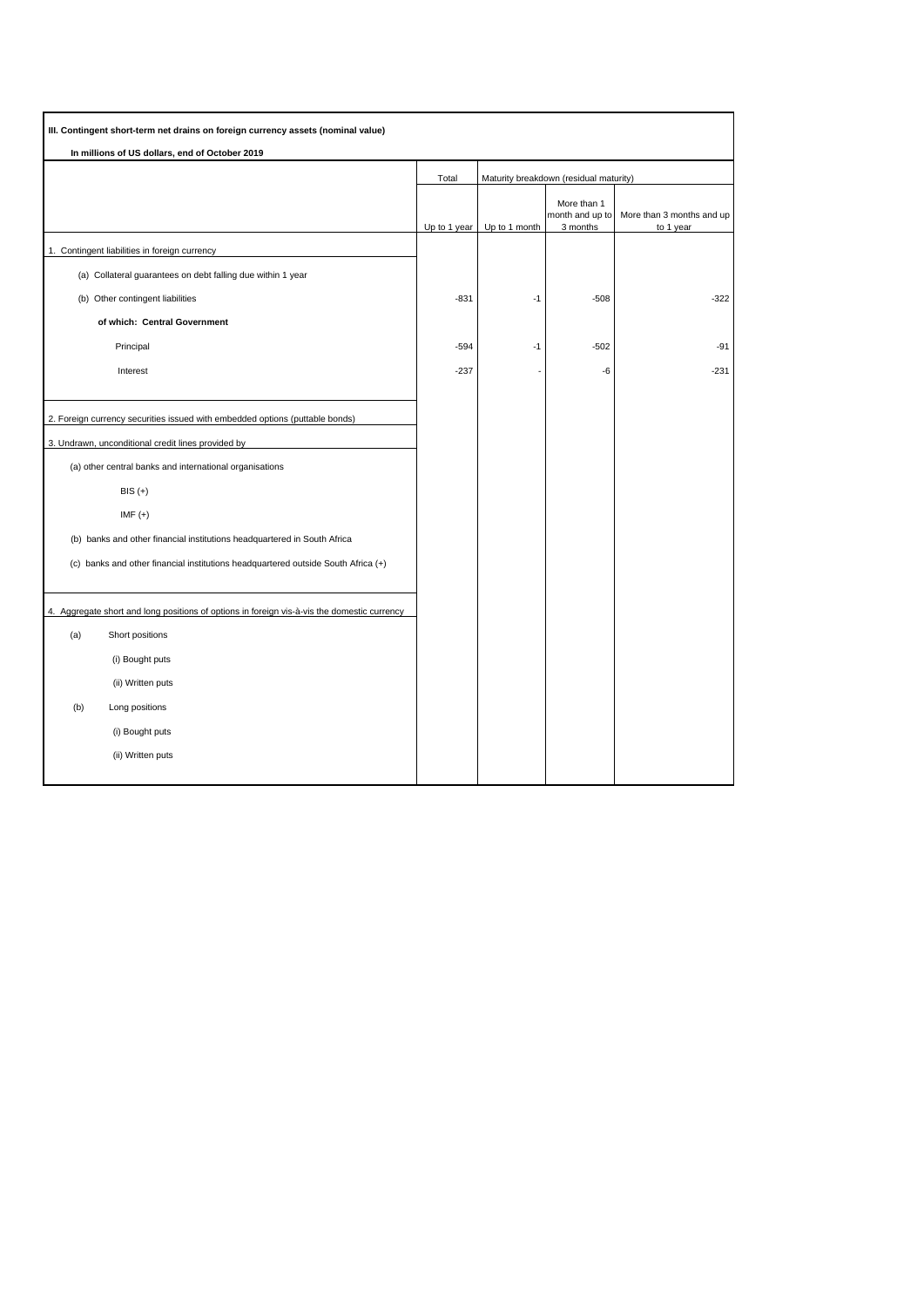| III. Contingent short-term net drains on foreign currency assets (nominal value)            |              |               |                                            |                                        |
|---------------------------------------------------------------------------------------------|--------------|---------------|--------------------------------------------|----------------------------------------|
| In millions of US dollars, end of October 2019                                              |              |               |                                            |                                        |
|                                                                                             | Total        |               | Maturity breakdown (residual maturity)     |                                        |
|                                                                                             | Up to 1 year | Up to 1 month | More than 1<br>month and up to<br>3 months | More than 3 months and up<br>to 1 year |
| 1. Contingent liabilities in foreign currency                                               |              |               |                                            |                                        |
| (a) Collateral guarantees on debt falling due within 1 year                                 |              |               |                                            |                                        |
| (b) Other contingent liabilities                                                            | -831         | $-1$          | $-508$                                     | $-322$                                 |
| of which: Central Government                                                                |              |               |                                            |                                        |
| Principal                                                                                   | $-594$       | $-1$          | $-502$                                     | $-91$                                  |
| Interest                                                                                    | $-237$       |               | -6                                         | $-231$                                 |
|                                                                                             |              |               |                                            |                                        |
| 2. Foreign currency securities issued with embedded options (puttable bonds)                |              |               |                                            |                                        |
| 3. Undrawn, unconditional credit lines provided by                                          |              |               |                                            |                                        |
| (a) other central banks and international organisations                                     |              |               |                                            |                                        |
| $BIS (+)$                                                                                   |              |               |                                            |                                        |
| $IMF (+)$                                                                                   |              |               |                                            |                                        |
| (b) banks and other financial institutions headquartered in South Africa                    |              |               |                                            |                                        |
| (c) banks and other financial institutions headquartered outside South Africa (+)           |              |               |                                            |                                        |
|                                                                                             |              |               |                                            |                                        |
| 4. Aggregate short and long positions of options in foreign vis-à-vis the domestic currency |              |               |                                            |                                        |
| (a)<br>Short positions                                                                      |              |               |                                            |                                        |
| (i) Bought puts                                                                             |              |               |                                            |                                        |
| (ii) Written puts                                                                           |              |               |                                            |                                        |
| (b)<br>Long positions                                                                       |              |               |                                            |                                        |
| (i) Bought puts                                                                             |              |               |                                            |                                        |
| (ii) Written puts                                                                           |              |               |                                            |                                        |
|                                                                                             |              |               |                                            |                                        |